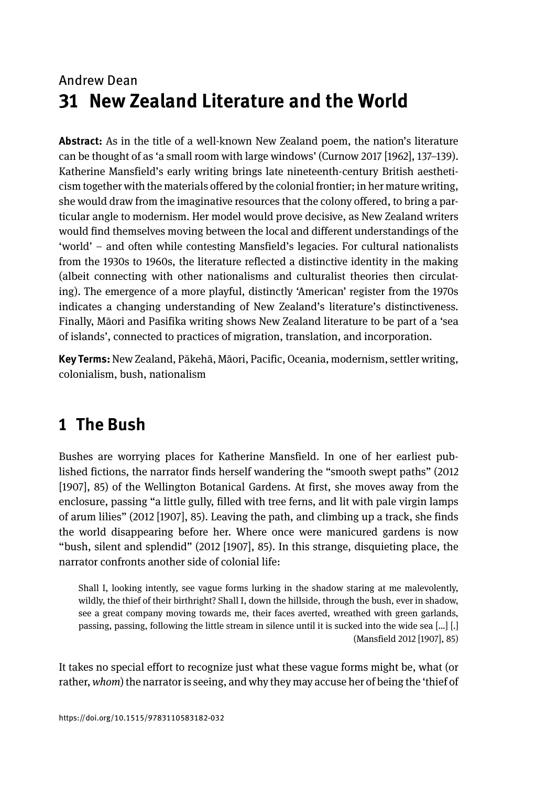# Andrew Dean **31 New Zealand Literature and the World**

**Abstract:** As in the title of a well-known New Zealand poem, the nation's literature can be thought of as 'a small room with large windows' (Curnow 2017 [1962], 137–139). Katherine Mansfield's early writing brings late nineteenth-century British aestheticism together with the materials offered by the colonial frontier; in her mature writing, she would draw from the imaginative resources that the colony offered, to bring a particular angle to modernism. Her model would prove decisive, as New Zealand writers would find themselves moving between the local and different understandings of the 'world' – and often while contesting Mansfield's legacies. For cultural nationalists from the 1930s to 1960s, the literature reflected a distinctive identity in the making (albeit connecting with other nationalisms and culturalist theories then circulating). The emergence of a more playful, distinctly 'American' register from the 1970s indicates a changing understanding of New Zealand's literature's distinctiveness. Finally, Māori and Pasifika writing shows New Zealand literature to be part of a 'sea of islands', connected to practices of migration, translation, and incorporation.

**Key Terms:**New Zealand, Pākehā, Māori, Pacific, Oceania, modernism, settler writing, colonialism, bush, nationalism

# **1 The Bush**

Bushes are worrying places for Katherine Mansfield. In one of her earliest published fictions, the narrator finds herself wandering the "smooth swept paths" (2012 [1907], 85) of the Wellington Botanical Gardens. At first, she moves away from the enclosure, passing "a little gully, filled with tree ferns, and lit with pale virgin lamps of arum lilies" (2012 [1907], 85). Leaving the path, and climbing up a track, she finds the world disappearing before her. Where once were manicured gardens is now "bush, silent and splendid" (2012 [1907], 85). In this strange, disquieting place, the narrator confronts another side of colonial life:

Shall I, looking intently, see vague forms lurking in the shadow staring at me malevolently, wildly, the thief of their birthright? Shall I, down the hillside, through the bush, ever in shadow, see a great company moving towards me, their faces averted, wreathed with green garlands, passing, passing, following the little stream in silence until it is sucked into the wide sea […] [.] (Mansfield 2012 [1907], 85)

It takes no special effort to recognize just what these vague forms might be, what (or rather, *whom*) the narrator is seeing, and why they may accuse her of being the 'thief of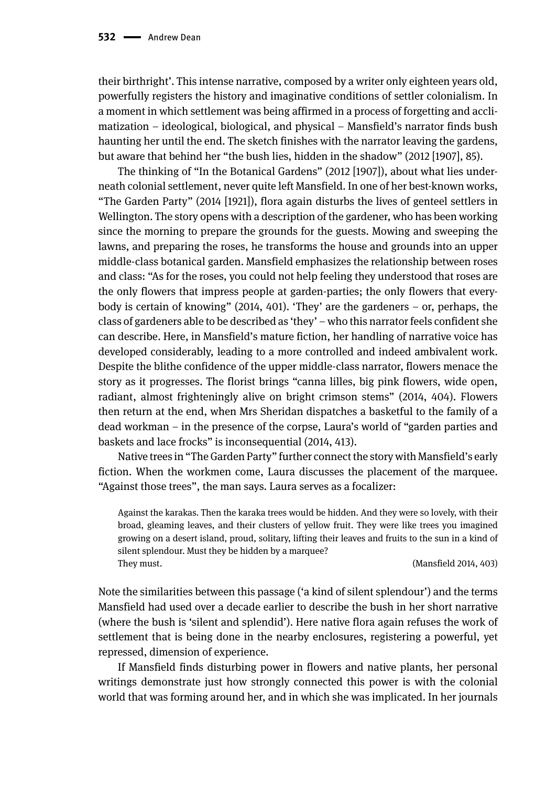their birthright'. This intense narrative, composed by a writer only eighteen years old, powerfully registers the history and imaginative conditions of settler colonialism. In a moment in which settlement was being affirmed in a process of forgetting and acclimatization – ideological, biological, and physical – Mansfield's narrator finds bush haunting her until the end. The sketch finishes with the narrator leaving the gardens, but aware that behind her "the bush lies, hidden in the shadow" (2012 [1907], 85).

The thinking of "In the Botanical Gardens" (2012 [1907]), about what lies underneath colonial settlement, never quite left Mansfield. In one of her best-known works, "The Garden Party" (2014 [1921]), flora again disturbs the lives of genteel settlers in Wellington. The story opens with a description of the gardener, who has been working since the morning to prepare the grounds for the guests. Mowing and sweeping the lawns, and preparing the roses, he transforms the house and grounds into an upper middle-class botanical garden. Mansfield emphasizes the relationship between roses and class: "As for the roses, you could not help feeling they understood that roses are the only flowers that impress people at garden-parties; the only flowers that everybody is certain of knowing" (2014, 401). 'They' are the gardeners – or, perhaps, the class of gardeners able to be described as 'they' – who this narrator feels confident she can describe. Here, in Mansfield's mature fiction, her handling of narrative voice has developed considerably, leading to a more controlled and indeed ambivalent work. Despite the blithe confidence of the upper middle-class narrator, flowers menace the story as it progresses. The florist brings "canna lilles, big pink flowers, wide open, radiant, almost frighteningly alive on bright crimson stems" (2014, 404). Flowers then return at the end, when Mrs Sheridan dispatches a basketful to the family of a dead workman – in the presence of the corpse, Laura's world of "garden parties and baskets and lace frocks" is inconsequential (2014, 413).

Native trees in "The Garden Party" further connect the story with Mansfield's early fiction. When the workmen come, Laura discusses the placement of the marquee. "Against those trees", the man says. Laura serves as a focalizer:

Against the karakas. Then the karaka trees would be hidden. And they were so lovely, with their broad, gleaming leaves, and their clusters of yellow fruit. They were like trees you imagined growing on a desert island, proud, solitary, lifting their leaves and fruits to the sun in a kind of silent splendour. Must they be hidden by a marquee? They must. (Mansfield 2014, 403)

Note the similarities between this passage ('a kind of silent splendour') and the terms Mansfield had used over a decade earlier to describe the bush in her short narrative (where the bush is 'silent and splendid'). Here native flora again refuses the work of settlement that is being done in the nearby enclosures, registering a powerful, yet repressed, dimension of experience.

If Mansfield finds disturbing power in flowers and native plants, her personal writings demonstrate just how strongly connected this power is with the colonial world that was forming around her, and in which she was implicated. In her journals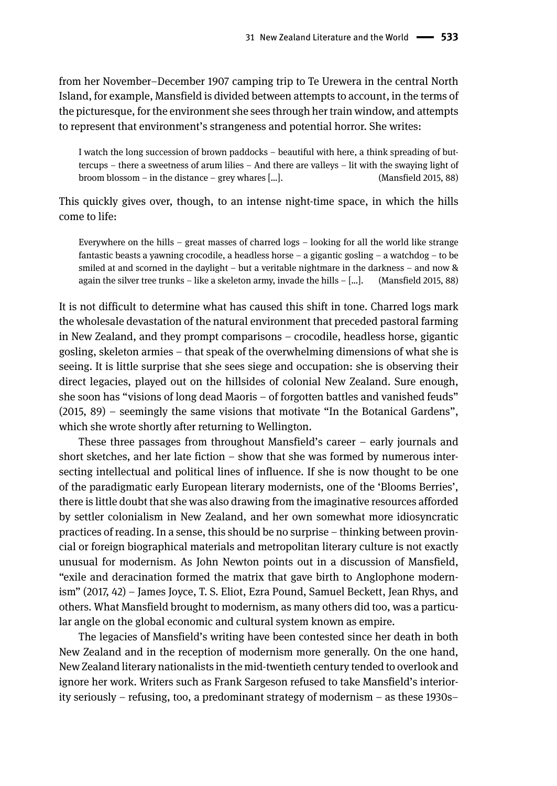from her November–December 1907 camping trip to Te Urewera in the central North Island, for example, Mansfield is divided between attempts to account, in the terms of the picturesque, for the environment she sees through her train window, and attempts to represent that environment's strangeness and potential horror. She writes:

I watch the long succession of brown paddocks – beautiful with here, a think spreading of buttercups – there a sweetness of arum lilies – And there are valleys – lit with the swaying light of broom blossom – in the distance – grey whares […]. (Mansfield 2015, 88)

This quickly gives over, though, to an intense night-time space, in which the hills come to life:

Everywhere on the hills – great masses of charred logs – looking for all the world like strange fantastic beasts a yawning crocodile, a headless horse  $-$  a gigantic gosling  $-$  a watchdog  $-$  to be smiled at and scorned in the daylight – but a veritable nightmare in the darkness – and now & again the silver tree trunks – like a skeleton army, invade the hills –  $[\dots]$ . (Mansfield 2015, 88)

It is not difficult to determine what has caused this shift in tone. Charred logs mark the wholesale devastation of the natural environment that preceded pastoral farming in New Zealand, and they prompt comparisons – crocodile, headless horse, gigantic gosling, skeleton armies – that speak of the overwhelming dimensions of what she is seeing. It is little surprise that she sees siege and occupation: she is observing their direct legacies, played out on the hillsides of colonial New Zealand. Sure enough, she soon has "visions of long dead Maoris – of forgotten battles and vanished feuds" (2015, 89) – seemingly the same visions that motivate "In the Botanical Gardens", which she wrote shortly after returning to Wellington.

These three passages from throughout Mansfield's career – early journals and short sketches, and her late fiction – show that she was formed by numerous intersecting intellectual and political lines of influence. If she is now thought to be one of the paradigmatic early European literary modernists, one of the 'Blooms Berries', there is little doubt that she was also drawing from the imaginative resources afforded by settler colonialism in New Zealand, and her own somewhat more idiosyncratic practices of reading. In a sense, this should be no surprise – thinking between provincial or foreign biographical materials and metropolitan literary culture is not exactly unusual for modernism. As John Newton points out in a discussion of Mansfield, "exile and deracination formed the matrix that gave birth to Anglophone modernism" (2017, 42) – James Joyce, T. S. Eliot, Ezra Pound, Samuel Beckett, Jean Rhys, and others. What Mansfield brought to modernism, as many others did too, was a particular angle on the global economic and cultural system known as empire.

The legacies of Mansfield's writing have been contested since her death in both New Zealand and in the reception of modernism more generally. On the one hand, New Zealand literary nationalists in the mid-twentieth century tended to overlook and ignore her work. Writers such as Frank Sargeson refused to take Mansfield's interiority seriously – refusing, too, a predominant strategy of modernism – as these 1930s–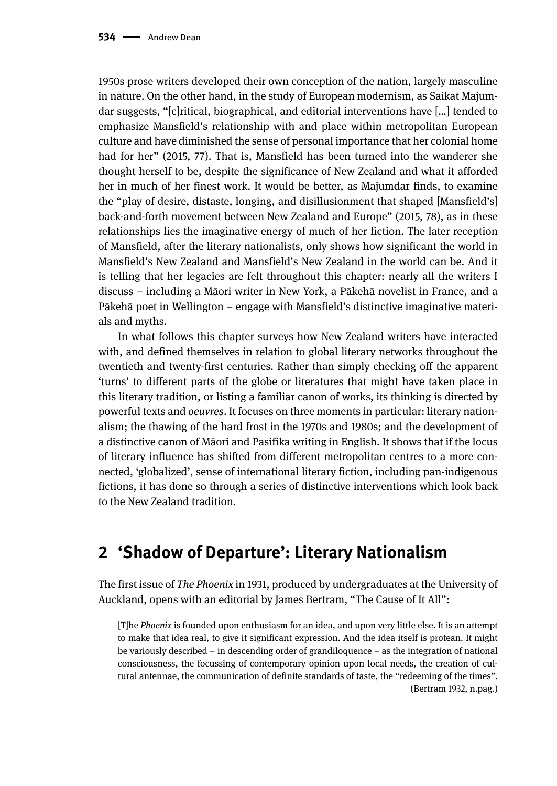1950s prose writers developed their own conception of the nation, largely masculine in nature. On the other hand, in the study of European modernism, as Saikat Majumdar suggests, "[c]ritical, biographical, and editorial interventions have […] tended to emphasize Mansfield's relationship with and place within metropolitan European culture and have diminished the sense of personal importance that her colonial home had for her" (2015, 77). That is, Mansfield has been turned into the wanderer she thought herself to be, despite the significance of New Zealand and what it afforded her in much of her finest work. It would be better, as Majumdar finds, to examine the "play of desire, distaste, longing, and disillusionment that shaped [Mansfield's] back-and-forth movement between New Zealand and Europe" (2015, 78), as in these relationships lies the imaginative energy of much of her fiction. The later reception of Mansfield, after the literary nationalists, only shows how significant the world in Mansfield's New Zealand and Mansfield's New Zealand in the world can be. And it is telling that her legacies are felt throughout this chapter: nearly all the writers I discuss – including a Māori writer in New York, a Pākehā novelist in France, and a Pākehā poet in Wellington – engage with Mansfield's distinctive imaginative materials and myths.

In what follows this chapter surveys how New Zealand writers have interacted with, and defined themselves in relation to global literary networks throughout the twentieth and twenty-first centuries. Rather than simply checking off the apparent 'turns' to different parts of the globe or literatures that might have taken place in this literary tradition, or listing a familiar canon of works, its thinking is directed by powerful texts and *oeuvres*. It focuses on three moments in particular: literary nationalism; the thawing of the hard frost in the 1970s and 1980s; and the development of a distinctive canon of Māori and Pasifika writing in English. It shows that if the locus of literary influence has shifted from different metropolitan centres to a more connected, 'globalized', sense of international literary fiction, including pan-indigenous fictions, it has done so through a series of distinctive interventions which look back to the New Zealand tradition.

## **2 'Shadow of Departure': Literary Nationalism**

The first issue of *The Phoenix* in 1931, produced by undergraduates at the University of Auckland, opens with an editorial by James Bertram, "The Cause of It All":

[T]he *Phoenix* is founded upon enthusiasm for an idea, and upon very little else. It is an attempt to make that idea real, to give it significant expression. And the idea itself is protean. It might be variously described – in descending order of grandiloquence – as the integration of national consciousness, the focussing of contemporary opinion upon local needs, the creation of cultural antennae, the communication of definite standards of taste, the "redeeming of the times". (Bertram 1932, n.pag.)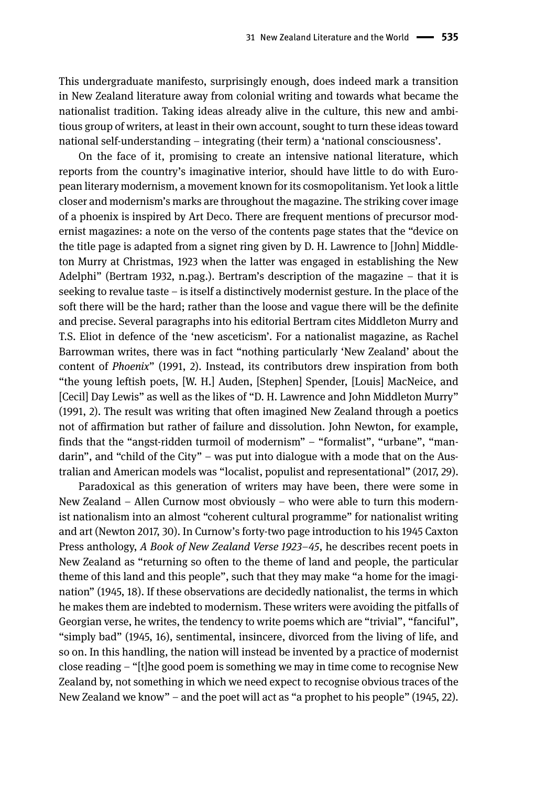This undergraduate manifesto, surprisingly enough, does indeed mark a transition in New Zealand literature away from colonial writing and towards what became the nationalist tradition. Taking ideas already alive in the culture, this new and ambitious group of writers, at least in their own account, sought to turn these ideas toward national self-understanding – integrating (their term) a 'national consciousness'.

On the face of it, promising to create an intensive national literature, which reports from the country's imaginative interior, should have little to do with European literary modernism, a movement known for its cosmopolitanism. Yet look a little closer and modernism's marks are throughout the magazine. The striking cover image of a phoenix is inspired by Art Deco. There are frequent mentions of precursor modernist magazines: a note on the verso of the contents page states that the "device on the title page is adapted from a signet ring given by D. H. Lawrence to [John] Middleton Murry at Christmas, 1923 when the latter was engaged in establishing the New Adelphi" (Bertram 1932, n.pag.). Bertram's description of the magazine – that it is seeking to revalue taste – is itself a distinctively modernist gesture. In the place of the soft there will be the hard; rather than the loose and vague there will be the definite and precise. Several paragraphs into his editorial Bertram cites Middleton Murry and T.S. Eliot in defence of the 'new asceticism'. For a nationalist magazine, as Rachel Barrowman writes, there was in fact "nothing particularly 'New Zealand' about the content of *Phoenix*" (1991, 2). Instead, its contributors drew inspiration from both "the young leftish poets, [W. H.] Auden, [Stephen] Spender, [Louis] MacNeice, and [Cecil] Day Lewis" as well as the likes of "D. H. Lawrence and John Middleton Murry" (1991, 2). The result was writing that often imagined New Zealand through a poetics not of affirmation but rather of failure and dissolution. John Newton, for example, finds that the "angst-ridden turmoil of modernism" – "formalist", "urbane", "mandarin", and "child of the City" – was put into dialogue with a mode that on the Australian and American models was "localist, populist and representational" (2017, 29).

Paradoxical as this generation of writers may have been, there were some in New Zealand – Allen Curnow most obviously – who were able to turn this modernist nationalism into an almost "coherent cultural programme" for nationalist writing and art (Newton 2017, 30). In Curnow's forty-two page introduction to his 1945 Caxton Press anthology, *A Book of New Zealand Verse 1923–45*, he describes recent poets in New Zealand as "returning so often to the theme of land and people, the particular theme of this land and this people", such that they may make "a home for the imagination" (1945, 18). If these observations are decidedly nationalist, the terms in which he makes them are indebted to modernism. These writers were avoiding the pitfalls of Georgian verse, he writes, the tendency to write poems which are "trivial", "fanciful", "simply bad" (1945, 16), sentimental, insincere, divorced from the living of life, and so on. In this handling, the nation will instead be invented by a practice of modernist close reading  $-$  "[t]he good poem is something we may in time come to recognise New Zealand by, not something in which we need expect to recognise obvious traces of the New Zealand we know" – and the poet will act as "a prophet to his people" (1945, 22).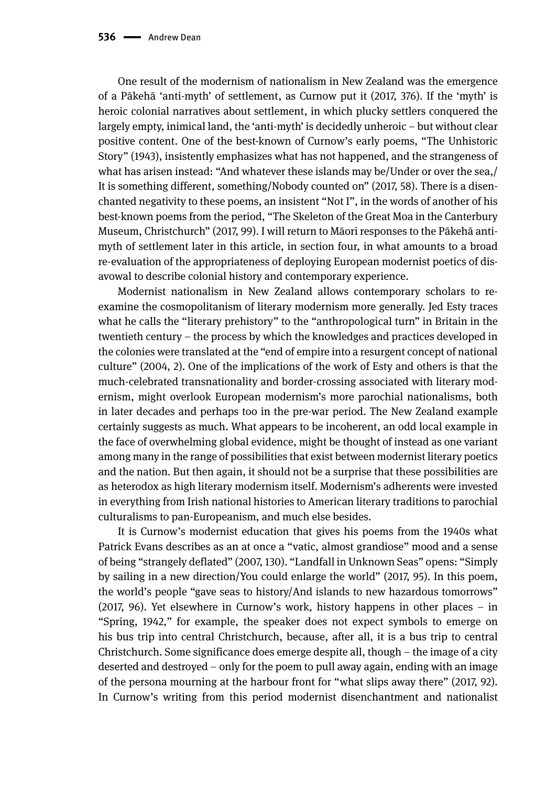One result of the modernism of nationalism in New Zealand was the emergence of a Pākehā 'anti-myth' of settlement, as Curnow put it (2017, 376). If the 'myth' is heroic colonial narratives about settlement, in which plucky settlers conquered the largely empty, inimical land, the 'anti-myth' is decidedly unheroic – but without clear positive content. One of the best-known of Curnow's early poems, "The Unhistoric Story" (1943), insistently emphasizes what has not happened, and the strangeness of what has arisen instead: "And whatever these islands may be/Under or over the sea,/ It is something different, something/Nobody counted on" (2017, 58). There is a disenchanted negativity to these poems, an insistent "Not I", in the words of another of his best-known poems from the period, "The Skeleton of the Great Moa in the Canterbury Museum, Christchurch" (2017, 99). I will return to Māori responses to the Pākehā antimyth of settlement later in this article, in section four, in what amounts to a broad re-evaluation of the appropriateness of deploying European modernist poetics of disavowal to describe colonial history and contemporary experience.

Modernist nationalism in New Zealand allows contemporary scholars to reexamine the cosmopolitanism of literary modernism more generally. Jed Esty traces what he calls the "literary prehistory" to the "anthropological turn" in Britain in the twentieth century – the process by which the knowledges and practices developed in the colonies were translated at the "end of empire into a resurgent concept of national culture" (2004, 2). One of the implications of the work of Esty and others is that the much-celebrated transnationality and border-crossing associated with literary modernism, might overlook European modernism's more parochial nationalisms, both in later decades and perhaps too in the pre-war period. The New Zealand example certainly suggests as much. What appears to be incoherent, an odd local example in the face of overwhelming global evidence, might be thought of instead as one variant among many in the range of possibilities that exist between modernist literary poetics and the nation. But then again, it should not be a surprise that these possibilities are as heterodox as high literary modernism itself. Modernism's adherents were invested in everything from Irish national histories to American literary traditions to parochial culturalisms to pan-Europeanism, and much else besides.

It is Curnow's modernist education that gives his poems from the 1940s what Patrick Evans describes as an at once a "vatic, almost grandiose" mood and a sense of being "strangely deflated" (2007, 130). "Landfall in Unknown Seas" opens: "Simply by sailing in a new direction/You could enlarge the world" (2017, 95). In this poem, the world's people "gave seas to history/And islands to new hazardous tomorrows" (2017, 96). Yet elsewhere in Curnow's work, history happens in other places – in "Spring, 1942," for example, the speaker does not expect symbols to emerge on his bus trip into central Christchurch, because, after all, it is a bus trip to central Christchurch. Some significance does emerge despite all, though – the image of a city deserted and destroyed – only for the poem to pull away again, ending with an image of the persona mourning at the harbour front for "what slips away there" (2017, 92). In Curnow's writing from this period modernist disenchantment and nationalist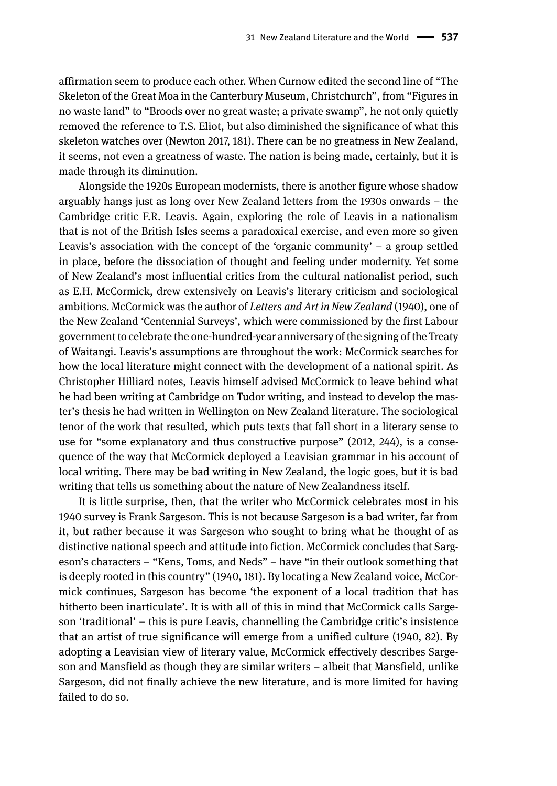affirmation seem to produce each other. When Curnow edited the second line of "The Skeleton of the Great Moa in the Canterbury Museum, Christchurch", from "Figures in no waste land" to "Broods over no great waste; a private swamp", he not only quietly removed the reference to T.S. Eliot, but also diminished the significance of what this skeleton watches over (Newton 2017, 181). There can be no greatness in New Zealand, it seems, not even a greatness of waste. The nation is being made, certainly, but it is made through its diminution.

Alongside the 1920s European modernists, there is another figure whose shadow arguably hangs just as long over New Zealand letters from the 1930s onwards – the Cambridge critic F.R. Leavis. Again, exploring the role of Leavis in a nationalism that is not of the British Isles seems a paradoxical exercise, and even more so given Leavis's association with the concept of the 'organic community'  $-$  a group settled in place, before the dissociation of thought and feeling under modernity. Yet some of New Zealand's most influential critics from the cultural nationalist period, such as E.H. McCormick, drew extensively on Leavis's literary criticism and sociological ambitions. McCormick was the author of *Letters and Art in New Zealand* (1940), one of the New Zealand 'Centennial Surveys', which were commissioned by the first Labour government to celebrate the one-hundred-year anniversary of the signing of the Treaty of Waitangi. Leavis's assumptions are throughout the work: McCormick searches for how the local literature might connect with the development of a national spirit. As Christopher Hilliard notes, Leavis himself advised McCormick to leave behind what he had been writing at Cambridge on Tudor writing, and instead to develop the master's thesis he had written in Wellington on New Zealand literature. The sociological tenor of the work that resulted, which puts texts that fall short in a literary sense to use for "some explanatory and thus constructive purpose" (2012, 244), is a consequence of the way that McCormick deployed a Leavisian grammar in his account of local writing. There may be bad writing in New Zealand, the logic goes, but it is bad writing that tells us something about the nature of New Zealandness itself.

It is little surprise, then, that the writer who McCormick celebrates most in his 1940 survey is Frank Sargeson. This is not because Sargeson is a bad writer, far from it, but rather because it was Sargeson who sought to bring what he thought of as distinctive national speech and attitude into fiction. McCormick concludes that Sargeson's characters – "Kens, Toms, and Neds" – have "in their outlook something that is deeply rooted in this country" (1940, 181). By locating a New Zealand voice, McCormick continues, Sargeson has become 'the exponent of a local tradition that has hitherto been inarticulate'. It is with all of this in mind that McCormick calls Sargeson 'traditional' – this is pure Leavis, channelling the Cambridge critic's insistence that an artist of true significance will emerge from a unified culture (1940, 82). By adopting a Leavisian view of literary value, McCormick effectively describes Sargeson and Mansfield as though they are similar writers – albeit that Mansfield, unlike Sargeson, did not finally achieve the new literature, and is more limited for having failed to do so.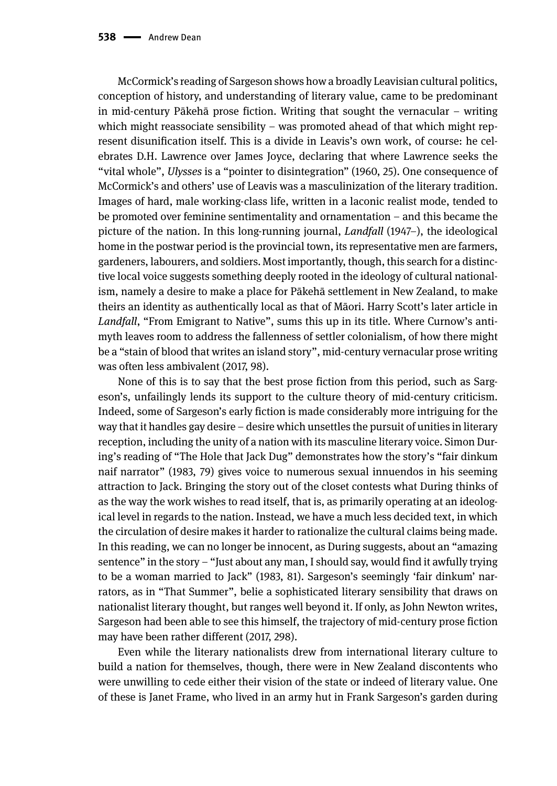McCormick's reading of Sargeson shows how a broadly Leavisian cultural politics, conception of history, and understanding of literary value, came to be predominant in mid-century Pākehā prose fiction. Writing that sought the vernacular – writing which might reassociate sensibility – was promoted ahead of that which might represent disunification itself. This is a divide in Leavis's own work, of course: he celebrates D.H. Lawrence over James Joyce, declaring that where Lawrence seeks the "vital whole", *Ulysses* is a "pointer to disintegration" (1960, 25). One consequence of McCormick's and others' use of Leavis was a masculinization of the literary tradition. Images of hard, male working-class life, written in a laconic realist mode, tended to be promoted over feminine sentimentality and ornamentation – and this became the picture of the nation. In this long-running journal, *Landfall* (1947–), the ideological home in the postwar period is the provincial town, its representative men are farmers, gardeners, labourers, and soldiers. Most importantly, though, this search for a distinctive local voice suggests something deeply rooted in the ideology of cultural nationalism, namely a desire to make a place for Pākehā settlement in New Zealand, to make theirs an identity as authentically local as that of Māori. Harry Scott's later article in *Landfall*, "From Emigrant to Native", sums this up in its title. Where Curnow's antimyth leaves room to address the fallenness of settler colonialism, of how there might be a "stain of blood that writes an island story", mid-century vernacular prose writing was often less ambivalent (2017, 98).

None of this is to say that the best prose fiction from this period, such as Sargeson's, unfailingly lends its support to the culture theory of mid-century criticism. Indeed, some of Sargeson's early fiction is made considerably more intriguing for the way that it handles gay desire – desire which unsettles the pursuit of unities in literary reception, including the unity of a nation with its masculine literary voice. Simon During's reading of "The Hole that Jack Dug" demonstrates how the story's "fair dinkum naif narrator" (1983, 79) gives voice to numerous sexual innuendos in his seeming attraction to Jack. Bringing the story out of the closet contests what During thinks of as the way the work wishes to read itself, that is, as primarily operating at an ideological level in regards to the nation. Instead, we have a much less decided text, in which the circulation of desire makes it harder to rationalize the cultural claims being made. In this reading, we can no longer be innocent, as During suggests, about an "amazing sentence" in the story – "Just about any man, I should say, would find it awfully trying to be a woman married to Jack" (1983, 81). Sargeson's seemingly 'fair dinkum' narrators, as in "That Summer", belie a sophisticated literary sensibility that draws on nationalist literary thought, but ranges well beyond it. If only, as John Newton writes, Sargeson had been able to see this himself, the trajectory of mid- century prose fiction may have been rather different (2017, 298).

Even while the literary nationalists drew from international literary culture to build a nation for themselves, though, there were in New Zealand discontents who were unwilling to cede either their vision of the state or indeed of literary value. One of these is Janet Frame, who lived in an army hut in Frank Sargeson's garden during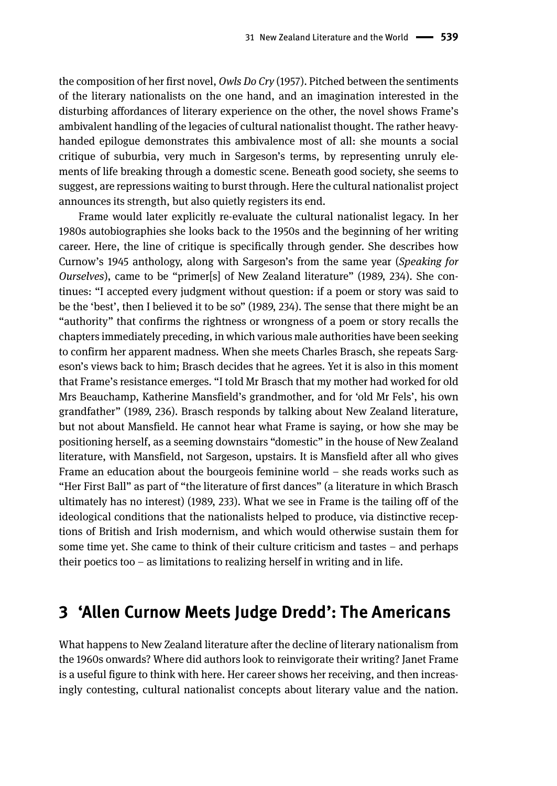the composition of her first novel, *Owls Do Cry* (1957). Pitched between the sentiments of the literary nationalists on the one hand, and an imagination interested in the disturbing affordances of literary experience on the other, the novel shows Frame's ambivalent handling of the legacies of cultural nationalist thought. The rather heavyhanded epilogue demonstrates this ambivalence most of all: she mounts a social critique of suburbia, very much in Sargeson's terms, by representing unruly elements of life breaking through a domestic scene. Beneath good society, she seems to suggest, are repressions waiting to burst through. Here the cultural nationalist project announces its strength, but also quietly registers its end.

Frame would later explicitly re-evaluate the cultural nationalist legacy. In her 1980s autobiographies she looks back to the 1950s and the beginning of her writing career. Here, the line of critique is specifically through gender. She describes how Curnow's 1945 anthology, along with Sargeson's from the same year (*Speaking for Ourselves*), came to be "primer[s] of New Zealand literature" (1989, 234). She continues: "I accepted every judgment without question: if a poem or story was said to be the 'best', then I believed it to be so" (1989, 234). The sense that there might be an "authority" that confirms the rightness or wrongness of a poem or story recalls the chapters immediately preceding, in which various male authorities have been seeking to confirm her apparent madness. When she meets Charles Brasch, she repeats Sargeson's views back to him; Brasch decides that he agrees. Yet it is also in this moment that Frame's resistance emerges. "I told Mr Brasch that my mother had worked for old Mrs Beauchamp, Katherine Mansfield's grandmother, and for 'old Mr Fels', his own grandfather" (1989, 236). Brasch responds by talking about New Zealand literature, but not about Mansfield. He cannot hear what Frame is saying, or how she may be positioning herself, as a seeming downstairs "domestic" in the house of New Zealand literature, with Mansfield, not Sargeson, upstairs. It is Mansfield after all who gives Frame an education about the bourgeois feminine world – she reads works such as "Her First Ball" as part of "the literature of first dances" (a literature in which Brasch ultimately has no interest) (1989, 233). What we see in Frame is the tailing off of the ideological conditions that the nationalists helped to produce, via distinctive receptions of British and Irish modernism, and which would otherwise sustain them for some time yet. She came to think of their culture criticism and tastes – and perhaps their poetics too – as limitations to realizing herself in writing and in life.

## **3 'Allen Curnow Meets Judge Dredd': The Americans**

What happens to New Zealand literature after the decline of literary nationalism from the 1960s onwards? Where did authors look to reinvigorate their writing? Janet Frame is a useful figure to think with here. Her career shows her receiving, and then increasingly contesting, cultural nationalist concepts about literary value and the nation.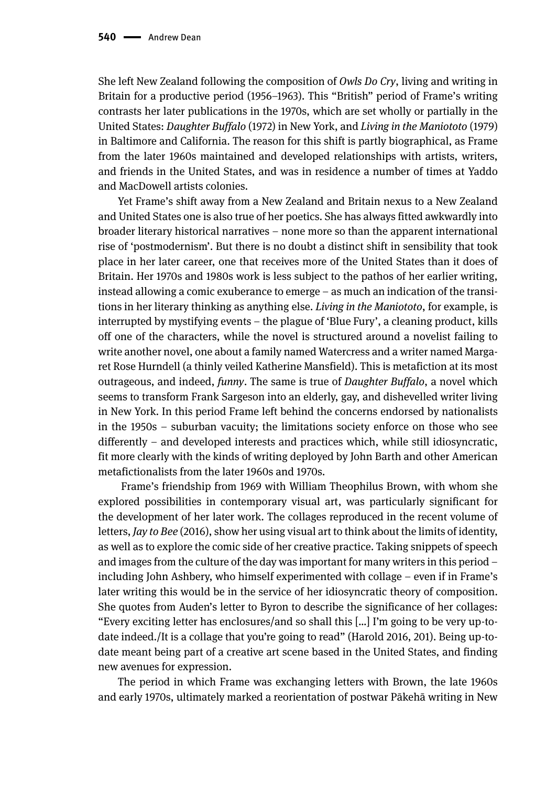She left New Zealand following the composition of *Owls Do Cry*, living and writing in Britain for a productive period (1956–1963). This "British" period of Frame's writing contrasts her later publications in the 1970s, which are set wholly or partially in the United States: *Daughter Buffalo* (1972) in New York, and *Living in the Maniototo* (1979) in Baltimore and California. The reason for this shift is partly biographical, as Frame from the later 1960s maintained and developed relationships with artists, writers, and friends in the United States, and was in residence a number of times at Yaddo and MacDowell artists colonies.

Yet Frame's shift away from a New Zealand and Britain nexus to a New Zealand and United States one is also true of her poetics. She has always fitted awkwardly into broader literary historical narratives – none more so than the apparent international rise of 'postmodernism'. But there is no doubt a distinct shift in sensibility that took place in her later career, one that receives more of the United States than it does of Britain. Her 1970s and 1980s work is less subject to the pathos of her earlier writing, instead allowing a comic exuberance to emerge – as much an indication of the transitions in her literary thinking as anything else. *Living in the Maniototo*, for example, is interrupted by mystifying events – the plague of 'Blue Fury', a cleaning product, kills off one of the characters, while the novel is structured around a novelist failing to write another novel, one about a family named Watercress and a writer named Margaret Rose Hurndell (a thinly veiled Katherine Mansfield). This is metafiction at its most outrageous, and indeed, *funny*. The same is true of *Daughter Buffalo*, a novel which seems to transform Frank Sargeson into an elderly, gay, and dishevelled writer living in New York. In this period Frame left behind the concerns endorsed by nationalists in the 1950s – suburban vacuity; the limitations society enforce on those who see differently – and developed interests and practices which, while still idiosyncratic, fit more clearly with the kinds of writing deployed by John Barth and other American metafictionalists from the later 1960s and 1970s.

Frame's friendship from 1969 with William Theophilus Brown, with whom she explored possibilities in contemporary visual art, was particularly significant for the development of her later work. The collages reproduced in the recent volume of letters, *Jay to Bee* (2016), show her using visual art to think about the limits of identity, as well as to explore the comic side of her creative practice. Taking snippets of speech and images from the culture of the day was important for many writers in this period – including John Ashbery, who himself experimented with collage – even if in Frame's later writing this would be in the service of her idiosyncratic theory of composition. She quotes from Auden's letter to Byron to describe the significance of her collages: "Every exciting letter has enclosures/and so shall this […] I'm going to be very up-todate indeed./It is a collage that you're going to read" (Harold 2016, 201). Being up-todate meant being part of a creative art scene based in the United States, and finding new avenues for expression.

The period in which Frame was exchanging letters with Brown, the late 1960s and early 1970s, ultimately marked a reorientation of postwar Pākehā writing in New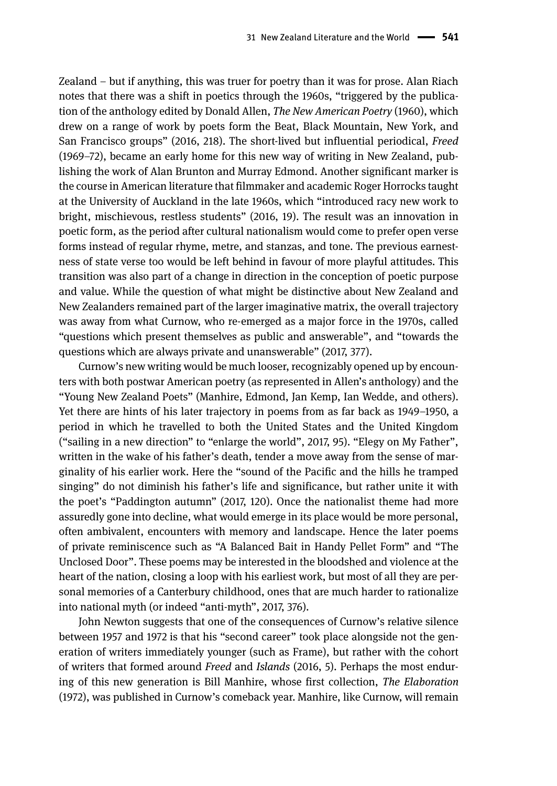Zealand – but if anything, this was truer for poetry than it was for prose. Alan Riach notes that there was a shift in poetics through the 1960s, "triggered by the publication of the anthology edited by Donald Allen, *The New American Poetry* (1960), which drew on a range of work by poets form the Beat, Black Mountain, New York, and San Francisco groups" (2016, 218). The short-lived but influential periodical, *Freed*  (1969–72), became an early home for this new way of writing in New Zealand, publishing the work of Alan Brunton and Murray Edmond. Another significant marker is the course in American literature that filmmaker and academic Roger Horrocks taught at the University of Auckland in the late 1960s, which "introduced racy new work to bright, mischievous, restless students" (2016, 19). The result was an innovation in poetic form, as the period after cultural nationalism would come to prefer open verse forms instead of regular rhyme, metre, and stanzas, and tone. The previous earnestness of state verse too would be left behind in favour of more playful attitudes. This transition was also part of a change in direction in the conception of poetic purpose and value. While the question of what might be distinctive about New Zealand and New Zealanders remained part of the larger imaginative matrix, the overall trajectory was away from what Curnow, who re-emerged as a major force in the 1970s, called "questions which present themselves as public and answerable", and "towards the questions which are always private and unanswerable" (2017, 377).

Curnow's new writing would be much looser, recognizably opened up by encounters with both postwar American poetry (as represented in Allen's anthology) and the "Young New Zealand Poets" (Manhire, Edmond, Jan Kemp, Ian Wedde, and others). Yet there are hints of his later trajectory in poems from as far back as 1949–1950, a period in which he travelled to both the United States and the United Kingdom ("sailing in a new direction" to "enlarge the world", 2017, 95). "Elegy on My Father", written in the wake of his father's death, tender a move away from the sense of marginality of his earlier work. Here the "sound of the Pacific and the hills he tramped singing" do not diminish his father's life and significance, but rather unite it with the poet's "Paddington autumn" (2017, 120). Once the nationalist theme had more assuredly gone into decline, what would emerge in its place would be more personal, often ambivalent, encounters with memory and landscape. Hence the later poems of private reminiscence such as "A Balanced Bait in Handy Pellet Form" and "The Unclosed Door". These poems may be interested in the bloodshed and violence at the heart of the nation, closing a loop with his earliest work, but most of all they are personal memories of a Canterbury childhood, ones that are much harder to rationalize into national myth (or indeed "anti-myth", 2017, 376).

John Newton suggests that one of the consequences of Curnow's relative silence between 1957 and 1972 is that his "second career" took place alongside not the generation of writers immediately younger (such as Frame), but rather with the cohort of writers that formed around *Freed* and *Islands* (2016, 5). Perhaps the most enduring of this new generation is Bill Manhire, whose first collection, *The Elaboration*  (1972), was published in Curnow's comeback year. Manhire, like Curnow, will remain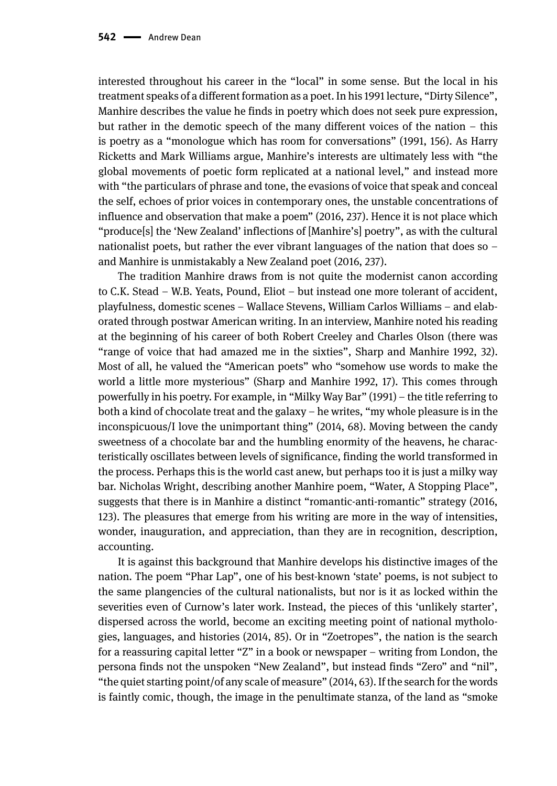interested throughout his career in the "local" in some sense. But the local in his treatment speaks of a different formation as a poet. In his 1991 lecture, "Dirty Silence", Manhire describes the value he finds in poetry which does not seek pure expression, but rather in the demotic speech of the many different voices of the nation – this is poetry as a "monologue which has room for conversations" (1991, 156). As Harry Ricketts and Mark Williams argue, Manhire's interests are ultimately less with "the global movements of poetic form replicated at a national level," and instead more with "the particulars of phrase and tone, the evasions of voice that speak and conceal the self, echoes of prior voices in contemporary ones, the unstable concentrations of influence and observation that make a poem" (2016, 237). Hence it is not place which "produce[s] the 'New Zealand' inflections of [Manhire's] poetry", as with the cultural nationalist poets, but rather the ever vibrant languages of the nation that does so  $$ and Manhire is unmistakably a New Zealand poet (2016, 237).

The tradition Manhire draws from is not quite the modernist canon according to C.K. Stead – W.B. Yeats, Pound, Eliot – but instead one more tolerant of accident, playfulness, domestic scenes – Wallace Stevens, William Carlos Williams – and elaborated through postwar American writing. In an interview, Manhire noted his reading at the beginning of his career of both Robert Creeley and Charles Olson (there was "range of voice that had amazed me in the sixties", Sharp and Manhire 1992, 32). Most of all, he valued the "American poets" who "somehow use words to make the world a little more mysterious" (Sharp and Manhire 1992, 17). This comes through powerfully in his poetry. For example, in "Milky Way Bar" (1991) – the title referring to both a kind of chocolate treat and the galaxy – he writes, "my whole pleasure is in the inconspicuous/I love the unimportant thing" (2014, 68). Moving between the candy sweetness of a chocolate bar and the humbling enormity of the heavens, he characteristically oscillates between levels of significance, finding the world transformed in the process. Perhaps this is the world cast anew, but perhaps too it is just a milky way bar. Nicholas Wright, describing another Manhire poem, "Water, A Stopping Place", suggests that there is in Manhire a distinct "romantic-anti-romantic" strategy (2016, 123). The pleasures that emerge from his writing are more in the way of intensities, wonder, inauguration, and appreciation, than they are in recognition, description, accounting.

It is against this background that Manhire develops his distinctive images of the nation. The poem "Phar Lap", one of his best-known 'state' poems, is not subject to the same plangencies of the cultural nationalists, but nor is it as locked within the severities even of Curnow's later work. Instead, the pieces of this 'unlikely starter', dispersed across the world, become an exciting meeting point of national mythologies, languages, and histories (2014, 85). Or in "Zoetropes", the nation is the search for a reassuring capital letter "Z" in a book or newspaper – writing from London, the persona finds not the unspoken "New Zealand", but instead finds "Zero" and "nil", "the quiet starting point/of any scale of measure" (2014, 63). If the search for the words is faintly comic, though, the image in the penultimate stanza, of the land as "smoke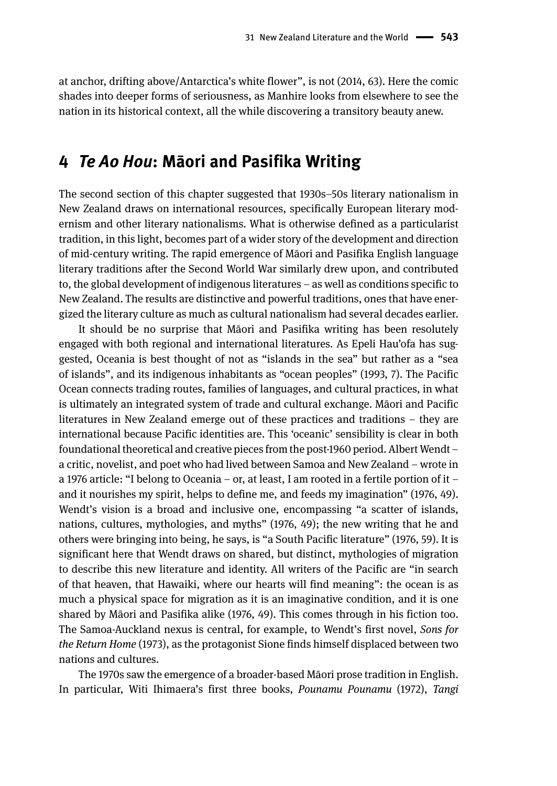at anchor, drifting above/Antarctica's white flower", is not (2014, 63). Here the comic shades into deeper forms of seriousness, as Manhire looks from elsewhere to see the nation in its historical context, all the while discovering a transitory beauty anew.

### **4** *Te Ao Hou***: Māori and Pasifika Writing**

The second section of this chapter suggested that 1930s–50s literary nationalism in New Zealand draws on international resources, specifically European literary modernism and other literary nationalisms. What is otherwise defined as a particularist tradition, in this light, becomes part of a wider story of the development and direction of mid-century writing. The rapid emergence of Māori and Pasifika English language literary traditions after the Second World War similarly drew upon, and contributed to, the global development of indigenous literatures – as well as conditions specific to New Zealand. The results are distinctive and powerful traditions, ones that have energized the literary culture as much as cultural nationalism had several decades earlier.

It should be no surprise that Māori and Pasifika writing has been resolutely engaged with both regional and international literatures. As Epeli Hau'ofa has suggested, Oceania is best thought of not as "islands in the sea" but rather as a "sea of islands", and its indigenous inhabitants as "ocean peoples" (1993, 7). The Pacific Ocean connects trading routes, families of languages, and cultural practices, in what is ultimately an integrated system of trade and cultural exchange. Māori and Pacific literatures in New Zealand emerge out of these practices and traditions – they are international because Pacific identities are. This 'oceanic' sensibility is clear in both foundational theoretical and creative pieces from the post-1960 period. Albert Wendt – a critic, novelist, and poet who had lived between Samoa and New Zealand – wrote in a 1976 article: "I belong to Oceania – or, at least, I am rooted in a fertile portion of it – and it nourishes my spirit, helps to define me, and feeds my imagination" (1976, 49). Wendt's vision is a broad and inclusive one, encompassing "a scatter of islands, nations, cultures, mythologies, and myths" (1976, 49); the new writing that he and others were bringing into being, he says, is "a South Pacific literature" (1976, 59). It is significant here that Wendt draws on shared, but distinct, mythologies of migration to describe this new literature and identity. All writers of the Pacific are "in search of that heaven, that Hawaiki, where our hearts will find meaning": the ocean is as much a physical space for migration as it is an imaginative condition, and it is one shared by Māori and Pasifika alike (1976, 49). This comes through in his fiction too. The Samoa-Auckland nexus is central, for example, to Wendt's first novel, *Sons for the Return Home* (1973), as the protagonist Sione finds himself displaced between two nations and cultures.

The 1970s saw the emergence of a broader-based Māori prose tradition in English. In particular, Witi Ihimaera's first three books, *Pounamu Pounamu* (1972), *Tangi*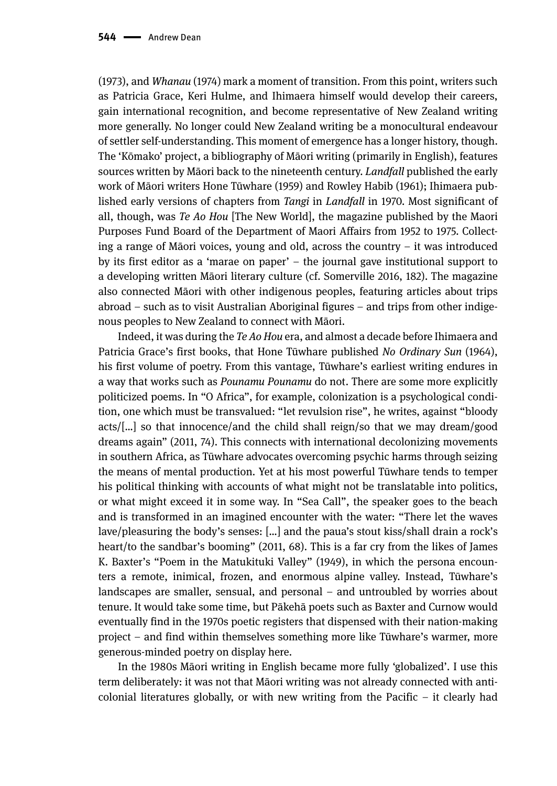(1973), and *Whanau* (1974) mark a moment of transition. From this point, writers such as Patricia Grace, Keri Hulme, and Ihimaera himself would develop their careers, gain international recognition, and become representative of New Zealand writing more generally. No longer could New Zealand writing be a monocultural endeavour of settler self-understanding. This moment of emergence has a longer history, though. The 'Kōmako' project, a bibliography of Māori writing (primarily in English), features sources written by Māori back to the nineteenth century. *Landfall* published the early work of Māori writers Hone Tūwhare (1959) and Rowley Habib (1961); Ihimaera published early versions of chapters from *Tangi* in *Landfall* in 1970. Most significant of all, though, was *Te Ao Hou* [The New World], the magazine published by the Maori Purposes Fund Board of the Department of Maori Affairs from 1952 to 1975. Collecting a range of Māori voices, young and old, across the country – it was introduced by its first editor as a 'marae on paper' – the journal gave institutional support to a developing written Māori literary culture (cf. Somerville 2016, 182). The magazine also connected Māori with other indigenous peoples, featuring articles about trips abroad – such as to visit Australian Aboriginal figures – and trips from other indigenous peoples to New Zealand to connect with Māori.

Indeed, it was during the *Te Ao Hou* era, and almost a decade before Ihimaera and Patricia Grace's first books, that Hone Tūwhare published *No Ordinary Sun* (1964), his first volume of poetry. From this vantage, Tūwhare's earliest writing endures in a way that works such as *Pounamu Pounamu* do not. There are some more explicitly politicized poems. In "O Africa", for example, colonization is a psychological condition, one which must be transvalued: "let revulsion rise", he writes, against "bloody acts/[…] so that innocence/and the child shall reign/so that we may dream/good dreams again" (2011, 74). This connects with international decolonizing movements in southern Africa, as Tūwhare advocates overcoming psychic harms through seizing the means of mental production. Yet at his most powerful Tūwhare tends to temper his political thinking with accounts of what might not be translatable into politics, or what might exceed it in some way. In "Sea Call", the speaker goes to the beach and is transformed in an imagined encounter with the water: "There let the waves lave/pleasuring the body's senses: […] and the paua's stout kiss/shall drain a rock's heart/to the sandbar's booming" (2011, 68). This is a far cry from the likes of James K. Baxter's "Poem in the Matukituki Valley" (1949), in which the persona encounters a remote, inimical, frozen, and enormous alpine valley. Instead, Tūwhare's landscapes are smaller, sensual, and personal – and untroubled by worries about tenure. It would take some time, but Pākehā poets such as Baxter and Curnow would eventually find in the 1970s poetic registers that dispensed with their nation-making project – and find within themselves something more like Tūwhare's warmer, more generous-minded poetry on display here.

In the 1980s Māori writing in English became more fully 'globalized'. I use this term deliberately: it was not that Māori writing was not already connected with anticolonial literatures globally, or with new writing from the Pacific – it clearly had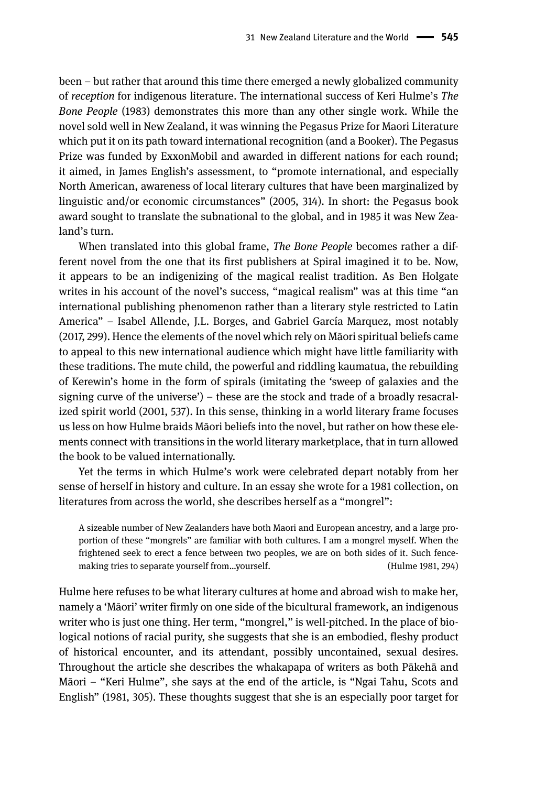been – but rather that around this time there emerged a newly globalized community of *reception* for indigenous literature. The international success of Keri Hulme's *The Bone People* (1983) demonstrates this more than any other single work. While the novel sold well in New Zealand, it was winning the Pegasus Prize for Maori Literature which put it on its path toward international recognition (and a Booker). The Pegasus Prize was funded by ExxonMobil and awarded in different nations for each round; it aimed, in James English's assessment, to "promote international, and especially North American, awareness of local literary cultures that have been marginalized by linguistic and/or economic circumstances" (2005, 314). In short: the Pegasus book award sought to translate the subnational to the global, and in 1985 it was New Zealand's turn.

When translated into this global frame, *The Bone People* becomes rather a different novel from the one that its first publishers at Spiral imagined it to be. Now, it appears to be an indigenizing of the magical realist tradition. As Ben Holgate writes in his account of the novel's success, "magical realism" was at this time "an international publishing phenomenon rather than a literary style restricted to Latin America" – Isabel Allende, J.L. Borges, and Gabriel García Marquez, most notably (2017, 299). Hence the elements of the novel which rely on Māori spiritual beliefs came to appeal to this new international audience which might have little familiarity with these traditions. The mute child, the powerful and riddling kaumatua, the rebuilding of Kerewin's home in the form of spirals (imitating the 'sweep of galaxies and the signing curve of the universe') – these are the stock and trade of a broadly resacralized spirit world (2001, 537). In this sense, thinking in a world literary frame focuses us less on how Hulme braids Māori beliefs into the novel, but rather on how these elements connect with transitions in the world literary marketplace, that in turn allowed the book to be valued internationally.

Yet the terms in which Hulme's work were celebrated depart notably from her sense of herself in history and culture. In an essay she wrote for a 1981 collection, on literatures from across the world, she describes herself as a "mongrel":

A sizeable number of New Zealanders have both Maori and European ancestry, and a large proportion of these "mongrels" are familiar with both cultures. I am a mongrel myself. When the frightened seek to erect a fence between two peoples, we are on both sides of it. Such fencemaking tries to separate yourself from…yourself. (Hulme 1981, 294)

Hulme here refuses to be what literary cultures at home and abroad wish to make her, namely a 'Māori' writer firmly on one side of the bicultural framework, an indigenous writer who is just one thing. Her term, "mongrel," is well-pitched. In the place of biological notions of racial purity, she suggests that she is an embodied, fleshy product of historical encounter, and its attendant, possibly uncontained, sexual desires. Throughout the article she describes the whakapapa of writers as both Pākehā and Māori – "Keri Hulme", she says at the end of the article, is "Ngai Tahu, Scots and English" (1981, 305). These thoughts suggest that she is an especially poor target for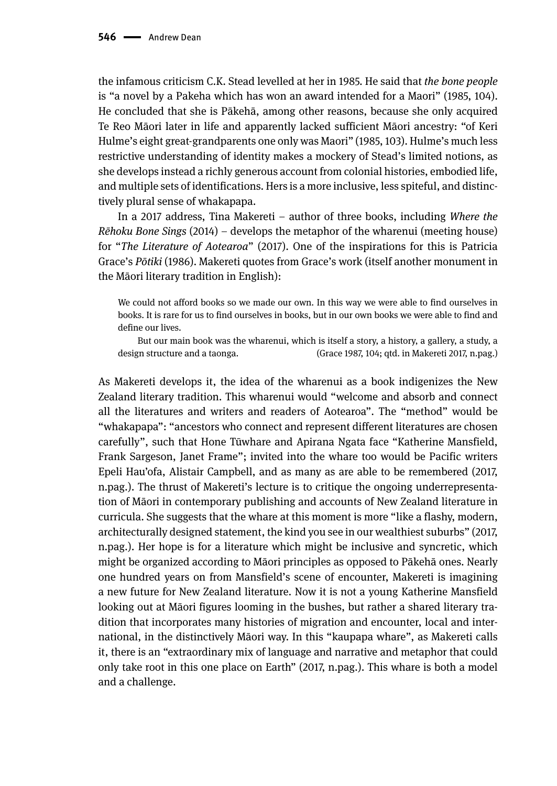the infamous criticism C.K. Stead levelled at her in 1985. He said that *the bone people*  is "a novel by a Pakeha which has won an award intended for a Maori" (1985, 104). He concluded that she is Pākehā, among other reasons, because she only acquired Te Reo Māori later in life and apparently lacked sufficient Māori ancestry: "of Keri Hulme's eight great-grandparents one only was Maori" (1985, 103). Hulme's much less restrictive understanding of identity makes a mockery of Stead's limited notions, as she develops instead a richly generous account from colonial histories, embodied life, and multiple sets of identifications. Hers is a more inclusive, less spiteful, and distinctively plural sense of whakapapa.

In a 2017 address, Tina Makereti – author of three books, including *Where the Rēhoku Bone Sings* (2014) – develops the metaphor of the wharenui (meeting house) for "*The Literature of Aotearoa*" (2017). One of the inspirations for this is Patricia Grace's *Pōtiki* (1986). Makereti quotes from Grace's work (itself another monument in the Māori literary tradition in English):

We could not afford books so we made our own. In this way we were able to find ourselves in books. It is rare for us to find ourselves in books, but in our own books we were able to find and define our lives.

But our main book was the wharenui, which is itself a story, a history, a gallery, a study, a design structure and a taonga. (Grace 1987, 104; qtd. in Makereti 2017, n.pag.)

As Makereti develops it, the idea of the wharenui as a book indigenizes the New Zealand literary tradition. This wharenui would "welcome and absorb and connect all the literatures and writers and readers of Aotearoa". The "method" would be "whakapapa": "ancestors who connect and represent different literatures are chosen carefully", such that Hone Tūwhare and Apirana Ngata face "Katherine Mansfield, Frank Sargeson, Janet Frame"; invited into the whare too would be Pacific writers Epeli Hau'ofa, Alistair Campbell, and as many as are able to be remembered (2017, n.pag.). The thrust of Makereti's lecture is to critique the ongoing underrepresentation of Māori in contemporary publishing and accounts of New Zealand literature in curricula. She suggests that the whare at this moment is more "like a flashy, modern, architecturally designed statement, the kind you see in our wealthiest suburbs" (2017, n.pag.). Her hope is for a literature which might be inclusive and syncretic, which might be organized according to Māori principles as opposed to Pākehā ones. Nearly one hundred years on from Mansfield's scene of encounter, Makereti is imagining a new future for New Zealand literature. Now it is not a young Katherine Mansfield looking out at Māori figures looming in the bushes, but rather a shared literary tradition that incorporates many histories of migration and encounter, local and international, in the distinctively Māori way. In this "kaupapa whare", as Makereti calls it, there is an "extraordinary mix of language and narrative and metaphor that could only take root in this one place on Earth" (2017, n.pag.). This whare is both a model and a challenge.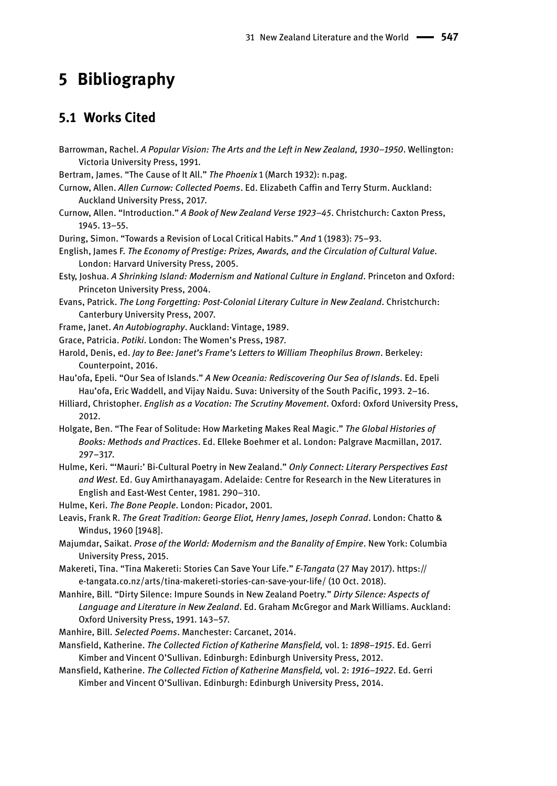## **5 Bibliography**

### **5.1 Works Cited**

- Barrowman, Rachel. *A Popular Vision: The Arts and the Left in New Zealand, 1930–1950*. Wellington: Victoria University Press, 1991.
- Bertram, James. "The Cause of It All." *The Phoenix* 1 (March 1932): n.pag.
- Curnow, Allen. *Allen Curnow: Collected Poems*. Ed. Elizabeth Caffin and Terry Sturm. Auckland: Auckland University Press, 2017.
- Curnow, Allen. "Introduction." *A Book of New Zealand Verse 1923–45*. Christchurch: Caxton Press, 1945. 13–55.

During, Simon. "Towards a Revision of Local Critical Habits." *And* 1 (1983): 75–93.

English, James F. *The Economy of Prestige: Prizes, Awards, and the Circulation of Cultural Value*. London: Harvard University Press, 2005.

Esty, Joshua. *A Shrinking Island: Modernism and National Culture in England*. Princeton and Oxford: Princeton University Press, 2004.

Evans, Patrick. *The Long Forgetting: Post-Colonial Literary Culture in New Zealand*. Christchurch: Canterbury University Press, 2007.

- Frame, Janet. *An Autobiography*. Auckland: Vintage, 1989.
- Grace, Patricia. *Potiki*. London: The Women's Press, 1987.
- Harold, Denis, ed. *Jay to Bee: Janet's Frame's Letters to William Theophilus Brown*. Berkeley: Counterpoint, 2016.
- Hau'ofa, Epeli. "Our Sea of Islands." *A New Oceania: Rediscovering Our Sea of Islands*. Ed. Epeli Hau'ofa, Eric Waddell, and Vijay Naidu. Suva: University of the South Pacific, 1993. 2–16.
- Hilliard, Christopher. *English as a Vocation: The Scrutiny Movement*. Oxford: Oxford University Press, 2012.
- Holgate, Ben. "The Fear of Solitude: How Marketing Makes Real Magic." *The Global Histories of Books: Methods and Practices*. Ed. Elleke Boehmer et al. London: Palgrave Macmillan, 2017. 297–317.
- Hulme, Keri. "'Mauri:' Bi-Cultural Poetry in New Zealand." *Only Connect: Literary Perspectives East and West*. Ed. Guy Amirthanayagam. Adelaide: Centre for Research in the New Literatures in English and East-West Center, 1981. 290–310.
- Hulme, Keri. *The Bone People*. London: Picador, 2001.
- Leavis, Frank R. *The Great Tradition: George Eliot, Henry James, Joseph Conrad*. London: Chatto & Windus, 1960 [1948].
- Majumdar, Saikat. *Prose of the World: Modernism and the Banality of Empire*. New York: Columbia University Press, 2015.
- Makereti, Tina. "Tina Makereti: Stories Can Save Your Life." *E-Tangata* (27 May 2017). [https://](https://e-tangata.co.nz/arts/tina-makereti-stories-can-save-your-life/)  [e-tangata.co.nz/arts/tina-makereti-stories-can-save-your-life/](https://e-tangata.co.nz/arts/tina-makereti-stories-can-save-your-life/) (10 Oct. 2018).
- Manhire, Bill. "Dirty Silence: Impure Sounds in New Zealand Poetry." *Dirty Silence: Aspects of Language and Literature in New Zealand*. Ed. Graham McGregor and Mark Williams. Auckland: Oxford University Press, 1991. 143–57.
- Manhire, Bill. *Selected Poems*. Manchester: Carcanet, 2014.
- Mansfield, Katherine. *The Collected Fiction of Katherine Mansfield,* vol. 1: *1898–1915*. Ed. Gerri Kimber and Vincent O'Sullivan. Edinburgh: Edinburgh University Press, 2012.
- Mansfield, Katherine. *The Collected Fiction of Katherine Mansfield,* vol. 2: *1916–1922*. Ed. Gerri Kimber and Vincent O'Sullivan. Edinburgh: Edinburgh University Press, 2014.